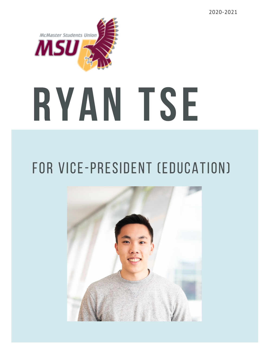2020-2021



## for vice-president (education)

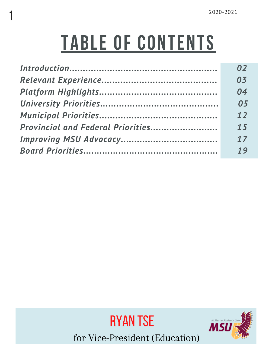# TABLE OF CONTENTS

1

| 02 |
|----|
| 03 |
| 04 |
| 05 |
| 12 |
| 15 |
| 17 |
| 19 |



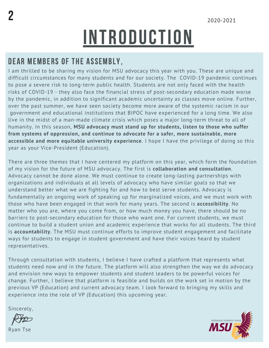# **INTRODUCTION**

### DEAR MEMBERS OF THE ASSEMBLY,

I am thrilled to be sharing my vision for MSU advocacy this year with you. These are unique and difficult circumstances for many students and for our society. The COVID-19 pandemic continues to pose a severe risk to long-term public health. Students are not only faced with the health risks of COVID-19 - they also face the financial stress of post-secondary education made worse by the pandemic, in addition to significant academic uncertainty as classes move online. Further, over the past summer, we have seen society become more aware of the systemic racism in our government and educational institutions that BIPOC have experienced for a long time. We also live in the midst of a man-made climate crisis which poses a major long-term threat to all of humanity. In this season, **MSU advocacy must stand up for students, listen to those who suffer from systems of oppression, and continue to advocate for a safer, more sustainable, more accessible and more equitable university experience**. I hope I have the privilege of doing so this year as your Vice-President (Education).

There are three themes that I have centered my platform on this year, which form the foundation of my vision for the future of MSU advocacy. The first is **collaboration and consultation**. Advocacy cannot be done alone. We must continue to create long-lasting partnerships with organizations and individuals at all levels of advocacy who have similar goals so that we understand better what we are fighting for and how to best serve students. Advocacy is fundamentally an ongoing work of speaking up for marginalized voices, and we must work with those who have been engaged in that work for many years. The second is **accessibility**. No matter who you are, where you come from, or how much money you have, there should be no barriers to post-secondary education for those who want one. For current students, we must continue to build a student union and academic experience that works for all students. The third is **accountability**. The MSU must continue efforts to improve student engagement and facilitate ways for students to engage in student government and have their voices heard by student representatives.

Through consultation with students, I believe I have crafted a platform that represents what students need now and in the future. The platform will also strengthen the way we do advocacy and envision new ways to empower students and student leaders to be powerful voices for change. Further, I believe that platform is feasible and builds on the work set in motion by the previous VP (Education) and current advocacy team. I look forward to bringing my skills and experience into the role of VP (Education) this upcoming year.

Sincerely,

Ryan Tse

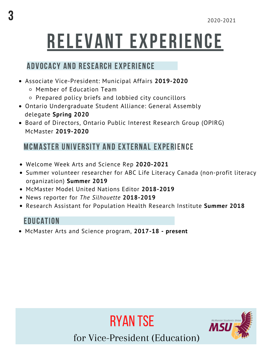# RELEVANT EXPERIENCE

### ADVOCACY AND RESEARCH EXPERIENCE

- Associate Vice-President: Municipal Affairs **2019-2020**
	- Member of Education Team
	- Prepared policy briefs and lobbied city councillors
- Ontario Undergraduate Student Alliance: General Assembly delegate **Spring 2020**
- Board of Directors, Ontario Public Interest Research Group (OPIRG) McMaster **2019-2020**

### MCMASTER UNIVERSITY AND EXTERNAL EXPERIENCE

- Welcome Week Arts and Science Rep **2020-2021**
- Summer volunteer researcher for ABC Life Literacy Canada (non-profit literacy organization) **Summer 2019**
- McMaster Model United Nations Editor **2018-2019**
- News reporter for *The Silhouette* **2018-2019**
- Research Assistant for Population Health Research Institute **Summer 2018**

### **EDUCATION**

McMaster Arts and Science program, **2017-18 - present**





for Vice-President (Education)

Ryan tse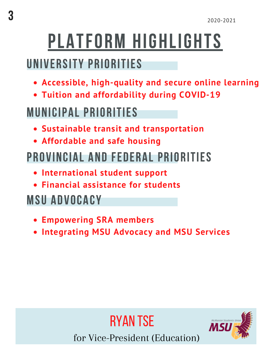# PLATFORM HIGHLIGHTS

### UNIVERSITY PRIORITIES

- **Accessible, high-quality and secure online learning**
- **Tuition and affordability during COVID-19**

### MUNICIPAL PRIORITIES

- **Sustainable transit and transportation**
- **Affordable and safe housing**

### PROVINCIAL AND FEDERAL PRIORITIES

- **International student support**
- **Financial assistance for students**

### MSU ADVOCACY

- **Empowering SRA members**
- **Integrating MSU Advocacy and MSU Services**



for Vice-President (Education)

Ryan tse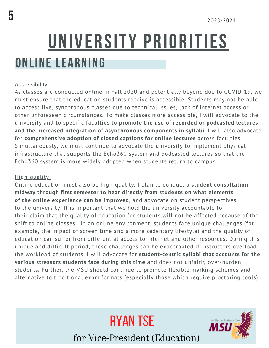## ONLINE LEARNING UNIVERSITY PRIORITIES

### Accessibility

As classes are conducted online in Fall 2020 and potentially beyond due to COVID-19, we must ensure that the education students receive is accessible. Students may not be able to access live, synchronous classes due to technical issues, lack of internet access or other unforeseen circumstances. To make classes more accessible, I will advocate to the university and to specific faculties to **promote the use of recorded or podcasted lectures and the increased integration of asynchronous components in syllabi.** I will also advocate for **comprehensive adoption of closed captions for online lectures** across faculties. Simultaneously, we must continue to advocate the university to implement physical infrastructure that supports the Echo360 system and podcasted lectures so that the Echo360 system is more widely adopted when students return to campus.

### High-quality

Online education must also be high-quality. I plan to conduct a **student consultation midway through first semester to hear directly from students on what elements of the online experience can be improved**, and advocate on student perspectives to the university. It is important that we hold the university accountable to their claim that the quality of education for students will not be affected because of the shift to online classes. In an online environment, students face unique challenges (for example, the impact of screen time and a more sedentary lifestyle) and the quality of education can suffer from differential access to internet and other resources. During this unique and difficult period, these challenges can be exacerbated if instructors overload the workload of students. I will advocate for **student-centric syllabi that accounts for the various stressors students face during this time** and does not unfairly over-burden students. Further, the MSU should continue to promote flexible marking schemes and alternative to traditional exam formats (especially those which require proctoring tools).



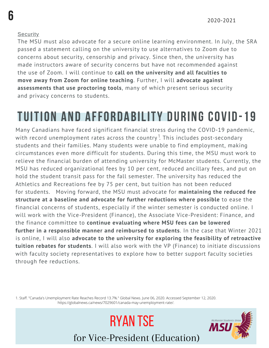#### **Security**

6

The MSU must also advocate for a secure online learning environment. In July, the SRA passed a statement calling on the university to use alternatives to Zoom due to concerns about security, censorship and privacy. Since then, the university has made instructors aware of security concerns but have not recommended against the use of Zoom. I will continue to **call on the university and all faculties to move away from Zoom for online teaching**. Further, I will **advocate against assessments that use proctoring tools**, many of which present serious security and privacy concerns to students.

### TUITION AND AFFORDABILITY DURING COVID-19

Many Canadians have faced significant financial stress during the COVID-19 pandemic, with record unemployment rates across the country  $^{\rm 1}$  This includes post-secondary students and their families. Many students were unable to find employment, making circumstances even more difficult for students. During this time, the MSU must work to relieve the financial burden of attending university for McMaster students. Currently, the MSU has reduced organizational fees by 10 per cent, reduced ancillary fees, and put on hold the student transit pass for the fall semester. The university has reduced the Athletics and Recreations fee by 75 per cent, but tuition has not been reduced for students. Moving forward, the MSU must advocate for **maintaining the reduced fee structure at a baseline and advocate for further reductions where possible** to ease the financial concerns of students, especially if the winter semester is conducted online. I will work with the Vice-President (Finance), the Associate Vice-President: Finance, and the finance committee to **continue evaluating where MSU fees can be lowered further in a responsible manner and reimbursed to students**. In the case that Winter 2021 is online, I will also **advocate to the university for exploring the feasibility of retroactive tuition rebates for students**. I will also work with the VP (Finance) to initiate discussions with faculty society representatives to explore how to better support faculty societies through fee reductions.

1. Staff. "Canada's Unemployment Rate Reaches Record 13.7%." Global News. June 06, 2020. Accessed September 12, 2020. https://globalnews.ca/news/7029601/canada-may-unemployment-rate/.

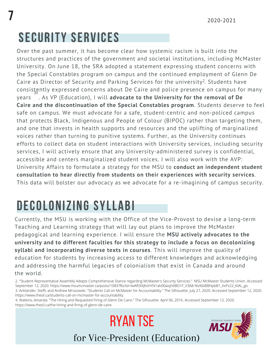### SECURITY SERVICES

Over the past summer, it has become clear how systemic racism is built into the structures and practices of the government and societal institutions, including McMaster University. On June 18, the SRA adopted a statement expressing student concerns with the Special Constables program on campus and the continued employment of Glenn De Caire as Director of Security and Parking Services for the university<sup>2</sup>. Students have consistently expressed concerns about De Caire and police presence on campus for many years . As VP (Education), I will **advocate to the University for the removal of De Caire and the discontinuation of the Special Constables program**. Students deserve to feel safe on campus. We must advocate for a safe, student-centric and non-policed campus that protects Black, Indigenous and People of Colour (BIPOC) rather than targeting them, and one that invests in health supports and resources and the uplifting of marginalized voices rather than turning to punitive systems. Further, as the University continues efforts to collect data on student interactions with University services, including security services, I will actively ensure that any University-administered survey is confidential, accessible and centers marginalized student voices. I will also work with the AVP: University Affairs to formulate a strategy for the MSU to **conduct an independent student consultation to hear directly from students on their experiences with security services**. This data will bolster our advocacy as we advocate for a re-imagining of campus security. 34

### DECOLONIZING SYLLABI

Currently, the MSU is working with the Office of the Vice-Provost to devise a long-term Teaching and Learning strategy that will lay out plans to improve the McMaster pedagogical and learning experience. I will ensure the **MSU actively advocates to the university and to different faculties for this strategy to include a focus on decolonizing syllabi and incorporating diverse texts in courses**. This will improve the quality of education for students by increasing access to different knowledges and acknowledging and addressing the harmful legacies of colonialism that exist in Canada and around the world.

2. "Student Representative Assembly Adopts Comprehensive Stance regarding McMaster's Security Services." MSU McMaster Students Union. Accessed September 12, 2020. https://www.msumcmaster.ca/posts/1083?fbclid=IwAR3iXjKohYN1ah00aisjh0BD1F\_V3A8-Wzl6bBBHpbB1\_XxPz22\_KIAL\_go. 3. Arkilander, Steffi, and Andrew Mrozowski. "Students Call on McMaster for Accountability." The Silhouette. July 27, 2020. Accessed September 12, 2020. https://www.thesil.ca/students-call-on-mcmaster-for-accountability.

4. Watkins, Amanda. "The Hiring and Requested Firing of Glenn De Caire." The Silhouette. April 06, 2016. Accessed September 12, 2020. https://www.thesil.ca/the-hiring-and-firing-of-glenn-de-caire.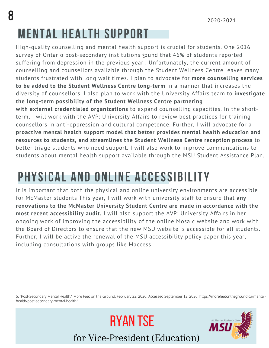## MENTAL HEALTH SUPPORT

High-quality counselling and mental health support is crucial for students. One 2016 survey of Ontario post-secondary institutions found that 46% of students reported 5 suffering from depression in the previous year . Unfortunately, the current amount of counselling and counsellors available through the Student Wellness Centre leaves many students frustrated with long wait times. I plan to advocate for **more counselling services to be added to the Student Wellness Centre long-term** in a manner that increases the diversity of counsellors. I also plan to work with the University Affairs team to **investigate the long-term possibility of the Student Wellness Centre partnering with external credentialed organizations** to expand counselling capacities. In the shortterm, I will work with the AVP: University Affairs to review best practices for training counsellors in anti-oppression and cultural competence. Further, I will advocate for a **proactive mental health support model that better provides mental health education and resources to students, and streamlines the Student Wellness Centre reception process** to better triage students who need support. I will also work to improve communcations to students about mental health support available through the MSU Student Assistance Plan.

### PHYSICAL AND ONLINE ACCESSIBILITY

It is important that both the physical and online university environments are accessible for McMaster students This year, I will work with university staff to ensure that **any renovations to the McMaster University Student Centre are made in accordance with the most recent accessibility audit.** I will also support the AVP: University Affairs in her ongoing work of improving the accessibility of the online Mosaic website and work with the Board of Directors to ensure that the new MSU website is accessible for all students. Further, I will be active the renewal of the MSU accessibility policy paper this year, including consultations with groups like Maccess.

5. "Post-Secondary Mental Health." More Feet on the Ground. February 22, 2020. Accessed September 12, 2020. https://morefeetontheground.ca/mentalhealth/post-secondary-mental-health/.

Ryan tse

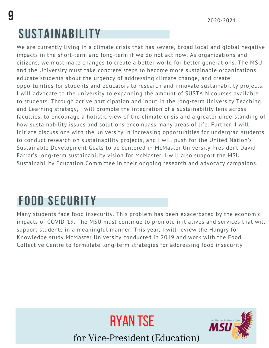### SUSTAINABILITY

We are currently living in a climate crisis that has severe, broad local and global negative impacts in the short-term and long-term if we do not act now. As organizations and citizens, we must make changes to create a better world for better generations. The MSU and the University must take concrete steps to become more sustainable organizations, educate students about the urgency of addressing climate change, and create opportunities for students and educators to research and innovate sustainability projects. I will advocate to the university to expanding the amount of SUSTAIN courses available to students. Through active participation and input in the long-term University Teaching and Learning strategy, I will promote the integration of a sustainability lens across faculties, to encourage a holistic view of the climate crisis and a greater understanding of how sustainability issues and solutions encompass many areas of life. Further, I will initiate discussions with the university in increasing opportunities for undergrad students to conduct research on sustainability projects, and I will push for the United Nation's Sustainable Development Goals to be centered in McMaster University President David Farrar's long-term sustainability vision for McMaster. I will also support the MSU Sustainability Education Committee in their ongoing research and advocacy campaigns.

### FOOD SECURITY

Many students face food insecurity. This problem has been exacerbated by the economic impacts of COVID-19. The MSU must continue to promote initiatives and services that will support students in a meaningful manner. This year, I will review the Hungry for Knowledge study McMaster University conducted in 2019 and work with the Food Collective Centre to formulate long-term strategies for addressing food insecurity



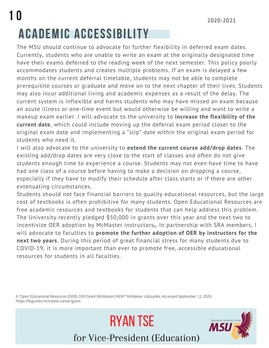### 1 0 2020-2021 ACADEMIC ACCESSIBILITY

The MSU should continue to advocate for further flexibility in deferred exam dates. Currently, students who are unable to write an exam at the originally designated time have their exams deferred to the reading week of the next semester. This policy poorly accommodates students and creates multiple problems. If an exam is delayed a few months on the current deferral timetable, students may not be able to complete prerequisite courses or graduate and move on to the next chapter of their lives. Students may also incur additional living and academic expenses as a result of the delay. The current system is inflexible and harms students who may have missed an exam because an acute illness or one-time event but would otherwise be willing and want to write a makeup exam earlier. I will advocate to the university to **increase the flexibility of the current date**, which could include moving up the deferral exam period closer to the original exam date and implementing a "slip" date within the original exam period for students who need it.

I will also advocate to the university to **extend the current course add/drop dates**. The existing add/drop dates are very close to the start of classes and often do not give students enough time to experience a course. Students may not even have time to have had one class of a course before having to make a decision on dropping a course, especially if they have to modify their schedule after class starts or if there are other extenuating circumstances.

Students should not face financial barriers to quality educational resources, but the large cost of textbooks is often prohibitive for many students. Open Educational Resources are free academic resources and textbooks for students that can help address this problem. The University recently pledged \$50,000 in grants over this year and the next two to incentivize OER adoption by McMaster instructors $_6$ . In partnership with SRA members, I will advocate to faculties to **promote the further adoption of OER by instructors for the next two years**. During this period of great financial stress for many students due to COVID-19, it is more important than ever to promote free, accessible educational resources for students in all faculties.

6."Open Educational Resources (OER): OER Grant (McMaster) NEW!" McMaster LibGuides. Accessed September 12, 2020. https://libguides.mcmaster.ca/oer/grant.

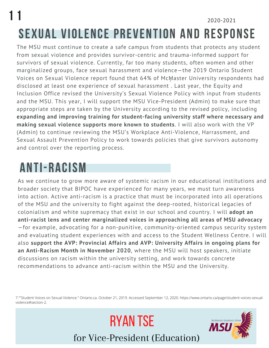### 1 1 2020-2021 SEXUAL VIOLENCE PREVENTION AND RESPONSE

The MSU must continue to create a safe campus from students that protects any student from sexual violence and provides survivor-centric and trauma-informed support for survivors of sexual violence. Currently, far too many students, often women and other marginalized groups, face sexual harassment and violence—the 2019 Ontario Student Voices on Sexual Violence report found that 64% of McMaster University respondents had disclosed at least one experience of sexual harassment . Last year, the Equity and Inclusion Office revised the University's Sexual Violence Policy with input from students and the MSU. This year, I will support the MSU Vice-President (Admin) to make sure that appropriate steps are taken by the University according to the revised policy, including **expanding and improving training for student-facing university staff where necessary and making sexual violence supports more known to students**. I will also work with the VP (Admin) to continue reviewing the MSU's Workplace Anti-Violence, Harrassment, and Sexual Assault Prevention Policy to work towards policies that give survivors autonomy and control over the reporting process.

### ANTI-RACISM

As we continue to grow more aware of systemic racism in our educational institutions and broader society that BIPOC have experienced for many years, we must turn awareness into action. Active anti-racism is a practice that must be incorporated into all operations of the MSU and the university to fight against the deep-rooted, historical legacies of colonialism and white supremacy that exist in our school and country. I will **adopt an anti-racist lens and center marginalized voices in approaching all areas of MSU advocacy** —for example, advocating for a non-punitive, community-oriented campus security system and evaluating student experiences with and access to the Student Wellness Centre. I will also **support the AVP: Provincial Affairs and AVP: University Affairs in ongoing plans for an Anti-Racism Month in November 2020**, where the MSU will host speakers, initiate discussions on racism within the university setting, and work towards concrete recommendations to advance anti-racism within the MSU and the University.

7.""Student Voices on Sexual Violence." Ontario.ca. October 21, 2019. Accessed September 12, 2020. https://www.ontario.ca/page/student-voices-sexualviolence#section-2.

Ryan tse

for Vice-President (Education)

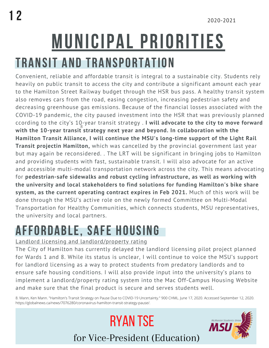# MUNICIPAL PRIORITIES

### TRANSIT AND TRANSPORTATION

Convenient, reliable and affordable transit is integral to a sustainable city. Students rely heavily on public transit to access the city and contribute a significant amount each year to the Hamilton Street Railway budget through the HSR bus pass. A healthy transit system also removes cars from the road, easing congestion, increasing pedestrian safety and decreasing greenhouse gas emissions. Because of the financial losses associated with the COVID-19 pandemic, the city paused investment into the HSR that was previously planned ccording to the city's 10-year transit strategy . **I will advocate to the city to move forward with the 10-year transit strategy next year and beyond. In collaboration with the** 8 **Hamilton Transit Alliance, I will continue the MSU's long-time support of the Light Rail Transit projectin Hamilton,** which was cancelled by the provincial government last year but may again be reconsidered. . The LRT will be significant in bringing jobs to Hamilton and providing students with fast, sustainable transit. I will also advocate for an active and accessible multi-modal transportation network across the city. This means advocating for **pedestrian-safe sidewalks and robust cycling infrastructure, as well as working with the university and local stakeholders to find solutions for funding Hamilton's bike share system, as the current operating contract expires in Feb 2021.** Much of this work will be done through the MSU's active role on the newly formed Committee on Multi-Modal Transportation for Healthy Communities, which connects students, MSU representatives, the university and local partners.

### AFFORDABLE, SAFE HOUSING

### Landlord licensing and landlord/property rating

The City of Hamilton has currently delayed the landlord licensing pilot project planned for Wards 1 and 8. While its status is unclear, I will continue to voice the MSU's support for landlord licensing as a way to protect students from predatory landlords and to ensure safe housing conditions. I will also provide input into the university's plans to implement a landlord/property rating system into the Mac Off-Campus Housing Website and make sure that the final product is secure and serves students well.

8. Mann, Ken Mann. "Hamilton's Transit Strategy on Pause Due to COVID-19 Uncertainty." 900 CHML. June 17, 2020. Accessed September 12, 2020. https://globalnews.ca/news/7076280/coronavirus-hamilton-transit-strategy-pause/.

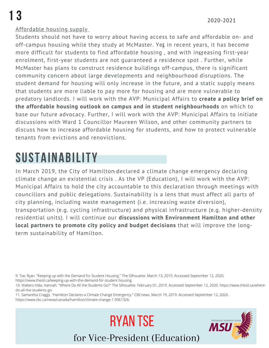### Affordable housing supply

Students should not have to worry about having access to safe and affordable on- and off-campus housing while they study at McMaster. Yeţ in recent years, it has become more difficult for students to find affordable housing , and with in $\frak g$ easing first-year enrolment, first-year students are not guaranteed a residence spot . Further, while McMaster has plans to construct residence buildings off-campus, there is significant community concern about large developments and neighbourhood disruptions. The student demand for housing will only increase in the future, and a static supply means that students are more liable to pay more for housing and are more vulnerable to predatory landlords. I will work with the AVP: Municipal Affairs to **create a policy brief on the affordable housing outlook on campus and in student neighbourhoods** on which to base our future advocacy. Further, I will work with the AVP: Municipal Affairs to initiate discussions with Ward 1 Councillor Maureen Wilson, and other community partners to discuss how to increase affordable housing for students, and how to protect vulnerable tenants from evictions and renovictions.

### SUSTAINABILITY

In March 2019, the City of Hamiltom $\mathfrak d$ eclared a climate change emergency declaring climate change an existential crisis . As the VP (Education), I will work with the AVP: Municipal Affairs to hold the city accountable to this declaration through meetings with councillors and public delegations. Sustainability is a lens that must affect all parts of city planning, including waste management (i.e. increasing waste diversion), transportation (e.g. cycling infrastructure) and physical infrastructure (e.g. higher-density residential units). I will continue our **discussions with Environment Hamilton and other local partners to promote city policy and budget decisions** that will improve the longterm sustainability of Hamilton.

9. Tse, Ryan. "Keeping up with the Demand for Student Housing." The Silhouette. March 13, 2019. Accessed September 12, 2020. https://www.thesil.ca/keeping-up-with-the-demand-for-student-housing.

10. Walters-Vida, Hannah. "Where Do All the Students Go?" The Silhouette. February 01, 2019. Accessed September 12, 2020. https://www.thesil.ca/wheredo-all-the-students-go.

11. Samantha Craggs. "Hamilton Declares a Climate Change Emergency." CBCnews. March 19, 2019. Accessed September 12, 2020. https://www.cbc.ca/news/canada/hamilton/climate-change-1.5061326.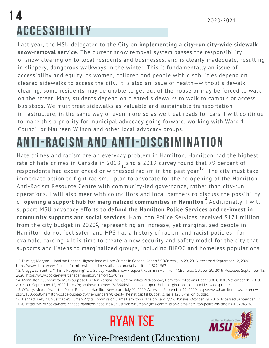### 1 4 2020-2021 ACCESSIBILITY

Last year, the MSU delegated to the City on **implementing a city-run city-wide sidewalk snow-removal service**. The current snow removal system passes the responsibility of snow clearing on to local residents and businesses, and is clearly inadequate, resulting in slippery, dangerous walkways in the winter. This is fundamentally an issue of accessibility and equity, as women, children and people with disabilities depend on cleared sidewalks to access the city. It is also an issue of health—without sidewalk clearing, some residents may be unable to get out of the house or may be forced to walk on the street. Many students depend on cleared sidewalks to walk to campus or access bus stops. We must treat sidewalks as valuable and sustainable transportation infrastructure, in the same way or even more so as we treat roads for cars. I will continue to make this a priority for municipal advocacy going forward, working with Ward 1 Councillor Maureen Wilson and other local advocacy groups.

### ANTI-RACISM AND ANTI-DISCRIMINATION

Hate crimes and racism are an everyday problem in Hamilton. Hamilton had the highest rate of hate crimes in Canada in 2018  $_{12}$  and a 2019 survey found that 79 percent of respondents had experienced or witnessed racism in the past year<sup>13</sup>. The city must take immediate action to fight racism. I plan to advocate for the re-opening of the Hamilton Anti-Racism Resource Centre with community-led governance, rather than city-run operations. I will also meet with councillors and local partners to discuss the possibility of **opening a support hub for marginalized communities in Hamilton** . Additionally, I will 14 support MSU advocacy efforts to **defund the Hamilton Police Services and re-invest in community supports and social services**. Hamilton Police Services received \$171 million from the city budget in 2020<sup>5</sup>, representing an increase, yet marginalized people in Hamilton do not feel safer, and HPS has a history of racism and racist policies—for example, carding 16 It is time to create a new security and safety model for the city that supports and listens to marginalized groups, including BIPOC and homeless populations.

16. Bennett, Kelly. "'Unjustifiable': Human Rights Commission Slams Hamilton Police on Carding." CBCnews. October 29, 2015. Accessed September 12, 2020. https://www.cbc.ca/news/canada/hamilton/headlines/unjustifiable-human-rights-commission-slams-hamilton-police-on-carding-1.3294576.

<sup>12.</sup> Dueling, Meagan. "Hamilton Has the Highest Rate of Hate Crimes in Canada: Report." CBCnews. July 23, 2019. Accessed September 12, 2020. https://www.cbc.ca/news/canada/hamilton/hate-crime-statistics-canada-hamilton-1.5221663.

<sup>13.</sup> Craggs, Samantha. "'This Is Happening': City Survey Results Show Frequent Racism in Hamilton." CBCnews. October 30, 2019. Accessed September 12, 2020. https://www.cbc.ca/news/canada/hamilton/harrc-1.5340499.

<sup>14.</sup> Mann, Ken. "Support for Multi-purpose Hub for Marginalized Communities Widespread, Hamilton Politicians Hear." 900 CHML. November 06, 2019. Accessed September 12, 2020. https://globalnews.ca/news/6136648/hamilton-support-hub-marginalized-communities-widespread/.

<sup>15.</sup> O'Reilly, Nicole. "Hamilton Police Budget..." HamiltonNews.com. July 02, 2020. Accessed September 12, 2020. https://www.hamiltonnews.com/newsstory/10056580-hamilton-police-budget-by-the-numbers/#:~:text=The net capital budget is,has a \$25.8-million budget.1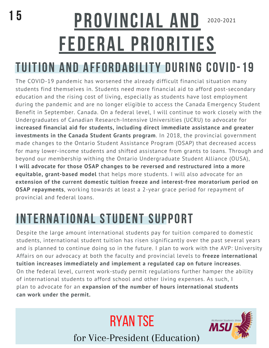## 2020-2021 15 PROVINCIAL AND FEDERAL PRIORITIES

### TUITION AND AFFORDABILITY DURING COVID-19

The COVID-19 pandemic has worsened the already difficult financial situation many students find themselves in. Students need more financial aid to afford post-secondary education and the rising cost of living, especially as students have lost employment during the pandemic and are no longer eligible to access the Canada Emergency Student Benefit in September. Canada. On a federal level, I will continue to work closely with the Undergraduates of Canadian Research-Intensive Universities (UCRU) to advocate for **increased financial aid for students, including direct immediate assistance and greater investments in the Canada Student Grants program**. In 2018, the provincial government made changes to the Ontario Student Assistance Program (OSAP) that decreased access for many lower-income students and shifted assistance from grants to loans. Through and beyond our membership withing the Ontario Undergraduate Student Alliance (OUSA), **I will advocate for those OSAP changes to be reversed and restructured into a more equitable, grant-based model** that helps more students. I will also advocate for an **extension of the current domestic tuition freeze and interest-free moratorium period on OSAP repayments**, working towards at least a 2-year grace period for repayment of provincial and federal loans.

### INTERNATIONAL STUDENT SUPPORT

Despite the large amount international students pay for tuition compared to domestic students, international student tuition has risen significantly over the past several years and is planned to continue doing so in the future. I plan to work with the AVP: University Affairs on our advocacy at both the faculty and provincial levels to **freeze international tuition increases immediately and implement a regulated cap on future increases**. On the federal level, current work-study permit regulations further hamper the ability of international students to afford school and other living expenses. As such, I plan to advocate for an **expansion of the number of hours international students can work under the permit.**

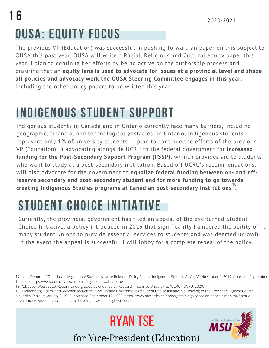## OUSA: EQUITY FOCUS 1 6

The previous VP (Education) was successful in pushing forward an paper on this subject to OUSA this past year. OUSA will write a Racial, Religious and Cultural equity paper this year. I plan to continue her efforts by being active on the authorship process and ensuring that an **equity lens is used to advocate for issues at a provincial level and shape all policies and advocacy work the OUSA Steering Committee engages in this year**, including the other policy papers to be written this year.

### INDIGENOUS STUDENT SUPPORT

Indigenous students in Canada and in Ontario currently face many barriers, including geographic, financial and technological  $\phi$ bstacles. In Ontario, Indigenous students represent only 1% of university students . I plan to continue the efforts of the previous VP (Education) in advocating alongside UCRU to the federal government for **increased funding for the Post-Secondary Support Program (PSSP)**, whhich provides aid to students who want to study at a post-secondary institution. Based off UCRU's recommendations, I will also advocate for the government to **equalize federal funding between on- and offreserve secondary and post-secondary student and for more funding to go towards creating Indigenous Studies programs at Canadian post-secondary institutions .** 18

## STUDENT CHOICE INITIATIVE

Currently, the provincial government has filed an appeal of the overturned Student Choice Initiative, a policy introduced in 2019 that significantly hampered the ability of  $_{\,19}$ many student unions to provide essential services to students and was deemed unlawful . In the event the appeal is successful, I will lobby for a complete repeal of the policy.



<sup>17.</sup> Lam, Deborah. "Ontario Undergraduate Student Alliance Releases Policy Paper: "Indigenous Students"." OUSA. November 9, 2017. Accessed September 12, 2020. https://www.ousa.ca/newsroom\_indigenous\_policy\_paper.

<sup>18.</sup> Advocacy Week 2020. Report. Undergraduates of Canadian Research-Intensive Universities (UCRU). UCRU, 2020.

<sup>19.</sup> .Goldenberg, Adam, and Solomon McKenzie. "The Ontario Government's "Student Choice Initiative" Is Heading to the Province's Highest Court." McCarthy Tétrault. January 8, 2020. Accessed September 12, 2020. https://www.mccarthy.ca/en/insights/blogs/canadian-appeals-monitor/ontariogovernments-student-choice-initiative-heading-provinces-highest-court.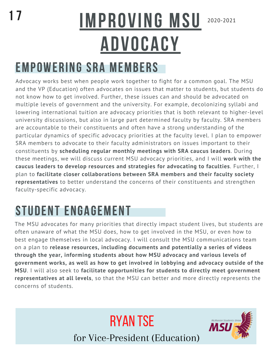### 2020-2021 IMPROVING MSU ADVOCACY

### EMPOWERING SRA MEMBERS

Advocacy works best when people work together to fight for a common goal. The MSU and the VP (Education) often advocates on issues that matter to students, but students do not know how to get involved. Further, these issues can and should be advocated on multiple levels of government and the university. For example, decolonizing syllabi and lowering international tuition are advocacy priorities that is both relevant to higher-level university discussions, but also in large part determined faculty by faculty. SRA members are accountable to their constituents and often have a strong understanding of the particular dynamics of specific advocacy priorities at the faculty level. I plan to empower SRA members to advocate to their faculty administrators on issues important to their constituents by **scheduling regular monthly meetings with SRA caucus leaders**. During these meetings, we will discuss current MSU advocacy priorities, and I will **work with the caucus leaders to develop resources and strategies for advocating to faculties**. Further, I plan to **facilitate closer collaborations between SRA members and their faculty society representatives** to better understand the concerns of their constituents and strengthen faculty-specific advocacy.

### STUDENT ENGAGEMENT

The MSU advocates for many priorities that directly impact student lives, but students are often unaware of what the MSU does, how to get involved in the MSU, or even how to best engage themselves in local advocacy. I will consult the MSU communications team on a plan to **release resources, including documents and potentially a series of videos through the year, informing students about how MSU advocacy and various levels of government works, as well as how to get involved in lobbying and advocacy outside of the MSU**. I will also seek to **facilitate opportunities for students to directly meet government representatives at all levels**, so that the MSU can better and more directly represents the concerns of students.

for Vice-President (Education)

Ryan tse

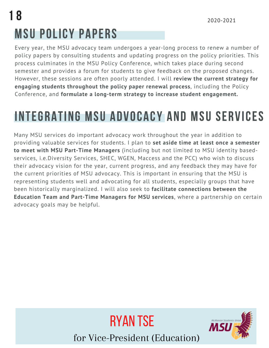## MSU POLICY PAPERS 1 8

Every year, the MSU advocacy team undergoes a year-long process to renew a number of policy papers by consulting students and updating progress on the policy priorities. This process culminates in the MSU Policy Conference, which takes place during second semester and provides a forum for students to give feedback on the proposed changes. However, these sessions are often poorly attended. I will **review the current strategy for engaging students throughout the policy paper renewal process**, including the Policy Conference, and **formulate a long-term strategy to increase student engagement.**

### INTEGRATING MSU ADVOCACY AND MSU SERVICES

Many MSU services do important advocacy work throughout the year in addition to providing valuable services for students. I plan to **set aside time at least once a semester to meet with MSU Part-Time Managers** (including but not limited to MSU identity basedservices, i.e.Diversity Services, SHEC, WGEN, Maccess and the PCC) who wish to discuss their advocacy vision for the year, current progress, and any feedback they may have for the current priorities of MSU advocacy. This is important in ensuring that the MSU is representing students well and advocating for all students, especially groups that have been historically marginalized. I will also seek to **facilitate connections between the Education Team and Part-Time Managers for MSU services**, where a partnership on certain advocacy goals may be helpful.



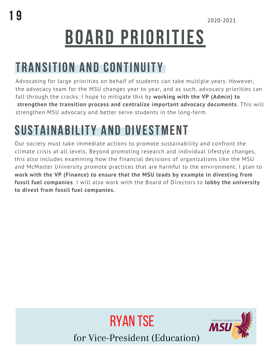# BOARD PRIORITIES

### TRANSITION AND CONTINUITY

Advocating for large priorities on behalf of students can take multiple years. However, the advocacy team for the MSU changes year to year, and as such, advocacy priorities can fall through the cracks. I hope to mitigate this by **working with the VP (Admin) to strengthen the transition process and centralize important advocacy documents**. This will strengthen MSU advocacy and better serve students in the long-term.

## SUSTAINABILITY AND DIVESTMENT

Our society must take immediate actions to promote sustainability and confront the climate crisis at all levels. Beyond promoting research and individual lifestyle changes, this also includes examining how the financial decisions of organizations like the MSU and McMaster University promote practices that are harmful to the environment. I plan to **work with the VP (Finance) to ensure that the MSU leads by example in divesting from fossil fuel companies**. I will also work with the Board of Directors to **lobby the university to divest from fossil fuel companies.**